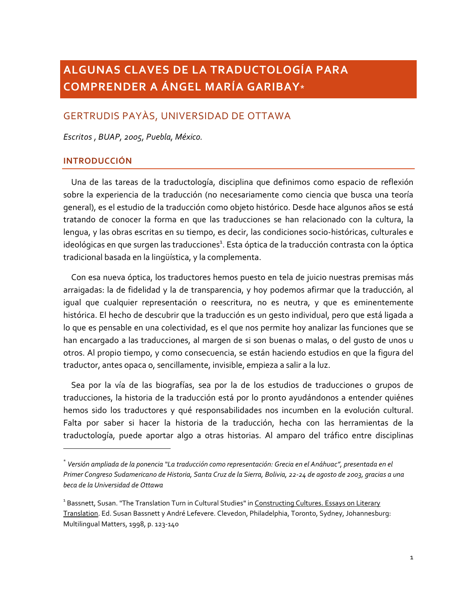# ALGUNAS CLAVES DE LA TRADUCTOLOGÍA PARA **COMPRENDER A ÁNGEL MARÍA GARIBAY\***

## GERTRUDIS PAYÀS, UNIVERSIDAD DE OTTAWA

Escritos, BUAP, 2005, Puebla, México.

#### **INTRODUCCIÓN**

Una de las tareas de la traductología, disciplina que definimos como espacio de reflexión sobre la experiencia de la traducción (no necesariamente como ciencia que busca una teoría general), es el estudio de la traducción como objeto histórico. Desde hace algunos años se está tratando de conocer la forma en que las traducciones se han relacionado con la cultura, la lengua, y las obras escritas en su tiempo, es decir, las condiciones socio-históricas, culturales e ideológicas en que surgen las traducciones<sup>1</sup>. Esta óptica de la traducción contrasta con la óptica tradicional basada en la lingüística, y la complementa.

Con esa nueva óptica, los traductores hemos puesto en tela de juicio nuestras premisas más arraigadas: la de fidelidad y la de transparencia, y hoy podemos afirmar que la traducción, al igual que cualquier representación o reescritura, no es neutra, y que es eminentemente histórica. El hecho de descubrir que la traducción es un gesto individual, pero que está ligada a lo que es pensable en una colectividad, es el que nos permite hoy analizar las funciones que se han encargado a las traducciones, al margen de si son buenas o malas, o del qusto de unos u otros. Al propio tiempo, y como consecuencia, se están haciendo estudios en que la figura del traductor, antes opaca o, sencillamente, invisible, empieza a salir a la luz.

Sea por la vía de las biografías, sea por la de los estudios de traducciones o grupos de traducciones, la historia de la traducción está por lo pronto ayudándonos a entender quiénes hemos sido los traductores y qué responsabilidades nos incumben en la evolución cultural. Falta por saber si hacer la historia de la traducción, hecha con las herramientas de la traductología, puede aportar algo a otras historias. Al amparo del tráfico entre disciplinas

 $^\ast$  Versión ampliada de la ponencia "La traducción como representación: Grecia en el Anáhuac", presentada en el Primer Congreso Sudamericano de Historia, Santa Cruz de la Sierra, Bolivia, 22-24 de agosto de 2003, gracias a una beca de la Universidad de Ottawa

<sup>&</sup>lt;sup>1</sup> Bassnett, Susan. "The Translation Turn in Cultural Studies" in Constructing Cultures. Essays on Literary Translation. Ed. Susan Bassnett y André Lefevere. Clevedon, Philadelphia, Toronto, Sydney, Johannesburg: Multilingual Matters, 1998, p. 123-140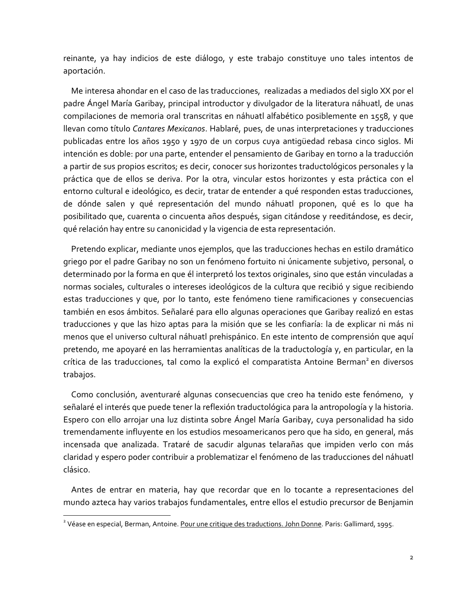reinante, ya hay indicios de este diálogo, y este trabajo constituye uno tales intentos de aportación.

Me interesa ahondar en el caso de las traducciones, realizadas a mediados del siglo XX por el padre Ángel María Garibay, principal introductor y divulgador de la literatura náhuatl, de unas compilaciones de memoria oral transcritas en náhuatl alfabético posiblemente en 1558, y que Ilevan como título Cantares Mexicanos. Hablaré, pues, de unas interpretaciones y traducciones publicadas entre los años 1950 y 1970 de un corpus cuya antiqüedad rebasa cinco siglos. Mi intención es doble: por una parte, entender el pensamiento de Garibay en torno a la traducción a partir de sus propios escritos; es decir, conocer sus horizontes traductológicos personales y la práctica que de ellos se deriva. Por la otra, vincular estos horizontes y esta práctica con el entorno cultural e ideológico, es decir, tratar de entender a qué responden estas traducciones, de dónde salen y qué representación del mundo náhuatl proponen, qué es lo que ha posibilitado que, cuarenta o cincuenta años después, sigan citándose y reeditándose, es decir, qué relación hay entre su canonicidad y la vigencia de esta representación.

Pretendo explicar, mediante unos ejemplos, que las traducciones hechas en estilo dramático griego por el padre Garibay no son un fenómeno fortuito ni únicamente subjetivo, personal, o determinado por la forma en que él interpretó los textos originales, sino que están vinculadas a normas sociales, culturales o intereses ideológicos de la cultura que recibió y sique recibiendo estas traducciones y que, por lo tanto, este fenómeno tiene ramificaciones y consecuencias también en esos ámbitos. Señalaré para ello algunas operaciones que Garibay realizó en estas traducciones y que las hizo aptas para la misión que se les confiaría: la de explicar ni más ni menos que el universo cultural náhuatl prehispánico. En este intento de comprensión que aquí pretendo, me apoyaré en las herramientas analíticas de la traductología y, en particular, en la crítica de las traducciones, tal como la explicó el comparatista Antoine Berman<sup>2</sup> en diversos trabajos.

Como conclusión, aventuraré algunas consecuencias que creo ha tenido este fenómeno, y señalaré el interés que puede tener la reflexión traductológica para la antropología y la historia. Espero con ello arrojar una luz distinta sobre Ángel María Garibay, cuya personalidad ha sido tremendamente influyente en los estudios mesoamericanos pero que ha sido, en general, más incensada que analizada. Trataré de sacudir algunas telarañas que impiden verlo con más claridad y espero poder contribuir a problematizar el fenómeno de las traducciones del náhuatl clásico.

Antes de entrar en materia, hay que recordar que en lo tocante a representaciones del mundo azteca hay varios trabajos fundamentales, entre ellos el estudio precursor de Benjamin

<sup>&</sup>lt;sup>2</sup> Véase en especial, Berman, Antoine. Pour une critique des traductions. John Donne. Paris: Gallimard, 1995.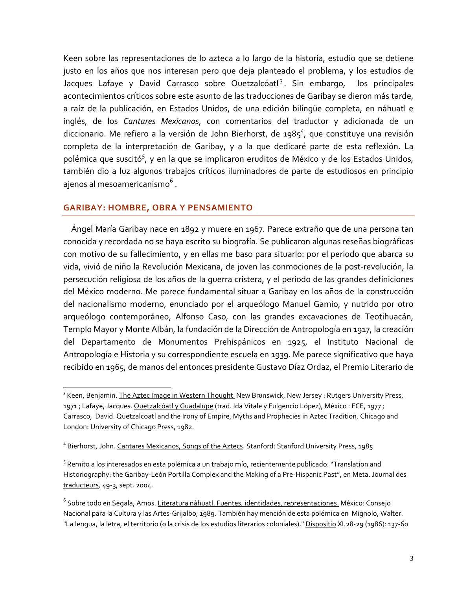Keen sobre las representaciones de lo azteca a lo largo de la historia, estudio que se detiene justo en los años que nos interesan pero que deja planteado el problema, y los estudios de Jacques Lafaye y David Carrasco sobre Quetzalcóatl<sup>3</sup>. Sin embargo, los principales acontecimientos críticos sobre este asunto de las traducciones de Garibay se dieron más tarde, a raíz de la publicación, en Estados Unidos, de una edición bilingüe completa, en náhuatl e inglés, de los Cantares Mexicanos, con comentarios del traductor y adicionada de un diccionario. Me refiero a la versión de John Bierhorst, de 1985<sup>4</sup>, que constituye una revisión completa de la interpretación de Garibay, y a la que dedicaré parte de esta reflexión. La polémica que suscitó<sup>5</sup>, y en la que se implicaron eruditos de México y de los Estados Unidos, también dio a luz algunos trabajos críticos iluminadores de parte de estudiosos en principio ajenos al mesoamericanismo<sup>6</sup>.

#### **GARIBAY: HOMBRE, OBRA Y PENSAMIENTO**

Ángel María Garibay nace en 1892 y muere en 1967. Parece extraño que de una persona tan conocida y recordada no se haya escrito su biografía. Se publicaron algunas reseñas biográficas con motivo de su fallecimiento, y en ellas me baso para situarlo: por el periodo que abarca su vida, vivió de niño la Revolución Mexicana, de joven las conmociones de la post-revolución, la persecución religiosa de los años de la querra cristera, y el periodo de las grandes definiciones del México moderno. Me parece fundamental situar a Garibay en los años de la construcción del nacionalismo moderno, enunciado por el arqueólogo Manuel Gamio, y nutrido por otro arqueólogo contemporáneo, Alfonso Caso, con las grandes excavaciones de Teotihuacán, Templo Mayor y Monte Albán, la fundación de la Dirección de Antropología en 1917, la creación del Departamento de Monumentos Prehispánicos en 1925, el Instituto Nacional de Antropología e Historia y su correspondiente escuela en 1939. Me parece significativo que haya recibido en 1965, de manos del entonces presidente Gustavo Díaz Ordaz, el Premio Literario de

<sup>&</sup>lt;sup>3</sup> Keen, Benjamin. The Aztec Image in Western Thought New Brunswick, New Jersey: Rutgers University Press, 1971; Lafaye, Jacques. Quetzalcóatl y Guadalupe (trad. Ida Vitale y Fulgencio López), México : FCE, 1977; Carrasco, David. Quetzalcoatl and the Irony of Empire, Myths and Prophecies in Aztec Tradition. Chicago and London: University of Chicago Press, 1982.

<sup>&</sup>lt;sup>4</sup> Bierhorst, John. Cantares Mexicanos, Songs of the Aztecs. Stanford: Stanford University Press, 1985

<sup>&</sup>lt;sup>5</sup> Remito a los interesados en esta polémica a un trabajo mío, recientemente publicado: "Translation and Historiography: the Garibay-León Portilla Complex and the Making of a Pre-Hispanic Past", en Meta. Journal des traducteurs, 49-3, sept. 2004.

<sup>&</sup>lt;sup>6</sup> Sobre todo en Segala, Amos. Literatura náhuatl. Fuentes, identidades, representaciones. México: Consejo Nacional para la Cultura y las Artes-Grijalbo, 1989. También hay mención de esta polémica en Mignolo, Walter. "La lengua, la letra, el territorio (o la crisis de los estudios literarios coloniales)." Dispositio XI.28-29 (1986): 137-60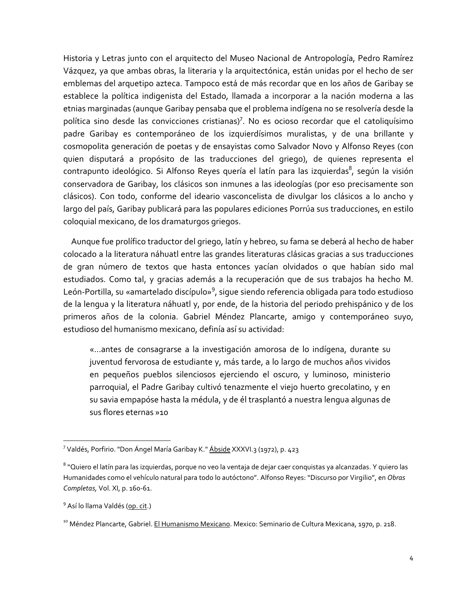Historia y Letras junto con el arquitecto del Museo Nacional de Antropología, Pedro Ramírez Vázquez, ya que ambas obras, la literaria y la arquitectónica, están unidas por el hecho de ser emblemas del arquetipo azteca. Tampoco está de más recordar que en los años de Garibay se establece la política indigenista del Estado, llamada a incorporar a la nación moderna a las etnias marginadas (aunque Garibay pensaba que el problema indígena no se resolvería desde la política sino desde las convicciones cristianas)<sup>7</sup>. No es ocioso recordar que el catoliquísimo padre Garibay es contemporáneo de los izquierdísimos muralistas, y de una brillante y cosmopolita generación de poetas y de ensayistas como Salvador Novo y Alfonso Reyes (con quien disputará a propósito de las traducciones del griego), de quienes representa el contrapunto ideológico. Si Alfonso Reyes quería el latín para las izquierdas<sup>8</sup>, según la visión conservadora de Garibay, los clásicos son inmunes a las ideologías (por eso precisamente son clásicos). Con todo, conforme del ideario vasconcelista de divulgar los clásicos a lo ancho y largo del país, Garibay publicará para las populares ediciones Porrúa sus traducciones, en estilo cologuial mexicano, de los dramaturgos griegos.

Aunque fue prolífico traductor del griego, latín y hebreo, su fama se deberá al hecho de haber colocado a la literatura náhuatl entre las grandes literaturas clásicas gracias a sus traducciones de gran número de textos que hasta entonces yacían olvidados o que habían sido mal estudiados. Como tal, y gracias además a la recuperación que de sus trabajos ha hecho M. León-Portilla, su «amartelado discípulo»<sup>9</sup>, sigue siendo referencia obligada para todo estudioso de la lengua y la literatura náhuatl y, por ende, de la historia del periodo prehispánico y de los primeros años de la colonia. Gabriel Méndez Plancarte, amigo y contemporáneo suyo, estudioso del humanismo mexicano, definía así su actividad:

«...antes de consagrarse a la investigación amorosa de lo indígena, durante su juventud fervorosa de estudiante y, más tarde, a lo largo de muchos años vividos en pequeños pueblos silenciosos ejerciendo el oscuro, y luminoso, ministerio parroquial, el Padre Garibay cultivó tenazmente el viejo huerto grecolatino, y en su savia empapóse hasta la médula, y de él trasplantó a nuestra lengua algunas de sus flores eternas »10

<sup>&</sup>lt;sup>7</sup> Valdés, Porfirio. "Don Ángel María Garibay K." Abside XXXVI.3 (1972), p. 423

<sup>&</sup>lt;sup>8</sup> "Quiero el latín para las izquierdas, porque no veo la ventaja de dejar caer conquistas ya alcanzadas. Y quiero las Humanidades como el vehículo natural para todo lo autóctono". Alfonso Reyes: "Discurso por Virgilio", en Obras Completas, Vol. XI, p. 160-61.

<sup>&</sup>lt;sup>9</sup> Así lo llama Valdés (op. cit.)

<sup>&</sup>lt;sup>10</sup> Méndez Plancarte, Gabriel. El Humanismo Mexicano. Mexico: Seminario de Cultura Mexicana, 1970, p. 218.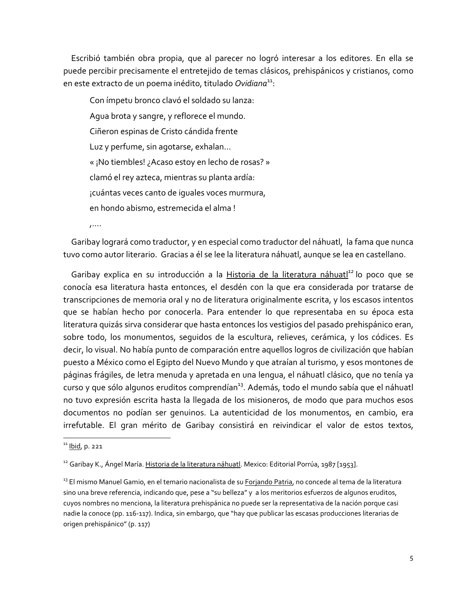Escribió también obra propia, que al parecer no logró interesar a los editores. En ella se puede percibir precisamente el entretejido de temas clásicos, prehispánicos y cristianos, como en este extracto de un poema inédito, titulado Ovidiana<sup>11</sup>:

Con ímpetu bronco clavó el soldado su lanza: Agua brota y sangre, y reflorece el mundo. Ciñeron espinas de Cristo cándida frente Luz y perfume, sin agotarse, exhalan... « ¡No tiembles! ¿Acaso estoy en lecho de rosas? » clamó el rey azteca, mientras su planta ardía: ¡cuántas veces canto de iguales voces murmura, en hondo abismo, estremecida el alma!

 $\cdots$ 

Garibay logrará como traductor, y en especial como traductor del náhuatl, la fama que nunca tuvo como autor literario. Gracias a él se lee la literatura náhuatl, aunque se lea en castellano.

Garibay explica en su introducción a la Historia de la literatura náhuatl<sup>12</sup> lo poco que se conocía esa literatura hasta entonces, el desdén con la que era considerada por tratarse de transcripciones de memoria oral y no de literatura originalmente escrita, y los escasos intentos que se habían hecho por conocerla. Para entender lo que representaba en su época esta literatura quizás sirva considerar que hasta entonces los vestigios del pasado prehispánico eran, sobre todo, los monumentos, sequidos de la escultura, relieves, cerámica, y los códices. Es decir, lo visual. No había punto de comparación entre aquellos logros de civilización que habían puesto a México como el Egipto del Nuevo Mundo y que atraían al turismo, y esos montones de páginas frágiles, de letra menuda y apretada en una lengua, el náhuatl clásico, que no tenía ya curso y que sólo algunos eruditos comprendían<sup>13</sup>. Además, todo el mundo sabía que el náhuatl no tuvo expresión escrita hasta la llegada de los misioneros, de modo que para muchos esos documentos no podían ser genuinos. La autenticidad de los monumentos, en cambio, era irrefutable. El gran mérito de Garibay consistirá en reivindicar el valor de estos textos,

 $11$  lbid, p. 221

<sup>&</sup>lt;sup>12</sup> Garibay K., Ángel María. Historia de la literatura náhuatl. Mexico: Editorial Porrúa, 1987 [1953].

<sup>&</sup>lt;sup>13</sup> El mismo Manuel Gamio, en el temario nacionalista de su Forjando Patria, no concede al tema de la literatura sino una breve referencia, indicando que, pese a "su belleza" y a los meritorios esfuerzos de algunos eruditos, cuyos nombres no menciona, la literatura prehispánica no puede ser la representativa de la nación porque casi nadie la conoce (pp. 116-117). Indica, sin embargo, que "hay que publicar las escasas producciones literarias de origen prehispánico" (p. 117)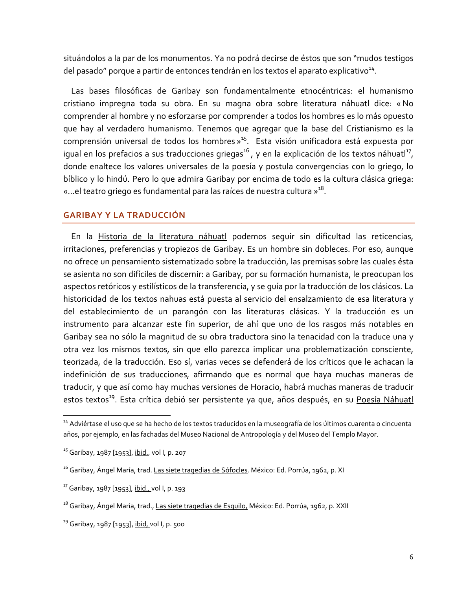situándolos a la par de los monumentos. Ya no podrá decirse de éstos que son "mudos testigos del pasado" porque a partir de entonces tendrán en los textos el aparato explicativo<sup>14</sup>.

Las bases filosóficas de Garibay son fundamentalmente etnocéntricas: el humanismo cristiano impregna toda su obra. En su magna obra sobre literatura náhuatl dice: «No comprender al hombre y no esforzarse por comprender a todos los hombres es lo más opuesto que hay al verdadero humanismo. Tenemos que agregar que la base del Cristianismo es la comprensión universal de todos los hombres »<sup>15</sup>. Esta visión unificadora está expuesta por iqual en los prefacios a sus traducciones griegas<sup>16</sup>, y en la explicación de los textos náhuatl<sup>17</sup>, donde enaltece los valores universales de la poesía y postula convergencias con lo griego, lo bíblico y lo hindú. Pero lo que admira Garibay por encima de todo es la cultura clásica griega: «...el teatro griego es fundamental para las raíces de nuestra cultura »<sup>18</sup>.

## **GARIBAY Y LA TRADUCCIÓN**

En la Historia de la literatura náhuatl podemos seguir sin dificultad las reticencias, irritaciones, preferencias y tropiezos de Garibay. Es un hombre sin dobleces. Por eso, aunque no ofrece un pensamiento sistematizado sobre la traducción, las premisas sobre las cuales ésta se asienta no son difíciles de discernir: a Garibay, por su formación humanista, le preocupan los aspectos retóricos y estilísticos de la transferencia, y se quía por la traducción de los clásicos. La historicidad de los textos nahuas está puesta al servicio del ensalzamiento de esa literatura y del establecimiento de un parangón con las literaturas clásicas. Y la traducción es un instrumento para alcanzar este fin superior, de ahí que uno de los rasgos más notables en Garibay sea no sólo la magnitud de su obra traductora sino la tenacidad con la traduce una y otra vez los mismos textos, sin que ello parezca implicar una problematización consciente, teorizada, de la traducción. Eso sí, varias veces se defenderá de los críticos que le achacan la indefinición de sus traducciones, afirmando que es normal que haya muchas maneras de traducir, y que así como hay muchas versiones de Horacio, habrá muchas maneras de traducir estos textos<sup>19</sup>. Esta crítica debió ser persistente ya que, años después, en su Poesía Náhuatl

<sup>&</sup>lt;sup>14</sup> Adviértase el uso que se ha hecho de los textos traducidos en la museografía de los últimos cuarenta o cincuenta años, por ejemplo, en las fachadas del Museo Nacional de Antropología y del Museo del Templo Mayor.

<sup>&</sup>lt;sup>15</sup> Garibay, 1987 [1953], ibid., vol I, p. 207

<sup>&</sup>lt;sup>16</sup> Garibay, Ángel María, trad. Las siete tragedias de Sófocles. México: Ed. Porrúa, 1962, p. XI

<sup>&</sup>lt;sup>17</sup> Garibay, 1987 [1953], ibid., vol I, p. 193

<sup>&</sup>lt;sup>18</sup> Garibay, Ángel María, trad., Las siete tragedias de Esquilo, México: Ed. Porrúa, 1962, p. XXII

<sup>&</sup>lt;sup>19</sup> Garibay, 1987 [1953], ibid, vol I, p. 500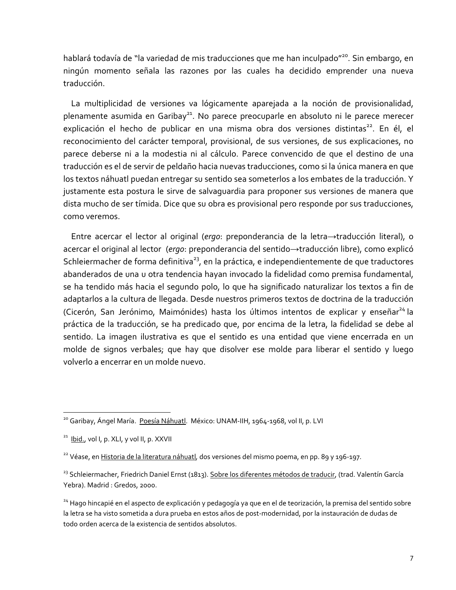hablará todavía de "la variedad de mis traducciones que me han inculpado"<sup>20</sup>. Sin embargo, en ningún momento señala las razones por las cuales ha decidido emprender una nueva traducción.

La multiplicidad de versiones va lógicamente aparejada a la noción de provisionalidad, plenamente asumida en Garibay<sup>21</sup>. No parece preocuparle en absoluto ni le parece merecer explicación el hecho de publicar en una misma obra dos versiones distintas<sup>22</sup>. En él, el reconocimiento del carácter temporal, provisional, de sus versiones, de sus explicaciones, no parece deberse ni a la modestia ni al cálculo. Parece convencido de que el destino de una traducción es el de servir de peldaño hacia nuevas traducciones, como si la única manera en que los textos náhuatl puedan entregar su sentido sea someterlos a los embates de la traducción. Y justamente esta postura le sirve de salvaguardia para proponer sus versiones de manera que dista mucho de ser tímida. Dice que su obra es provisional pero responde por sus traducciones, como veremos.

Entre acercar el lector al original (ergo: preponderancia de la letra-traducción literal), o acercar el original al lector (ergo: preponderancia del sentido→traducción libre), como explicó Schleiermacher de forma definitiva<sup>23</sup>, en la práctica, e independientemente de que traductores abanderados de una u otra tendencia hayan invocado la fidelidad como premisa fundamental, se ha tendido más hacia el segundo polo, lo que ha significado naturalizar los textos a fin de adaptarlos a la cultura de llegada. Desde nuestros primeros textos de doctrina de la traducción (Cicerón, San Jerónimo, Maimónides) hasta los últimos intentos de explicar y enseñar<sup>24</sup> la práctica de la traducción, se ha predicado que, por encima de la letra, la fidelidad se debe al sentido. La imagen ilustrativa es que el sentido es una entidad que viene encerrada en un molde de signos verbales; que hay que disolver ese molde para liberar el sentido y luego volverlo a encerrar en un molde nuevo.

<sup>&</sup>lt;sup>20</sup> Garibay, Ángel María. Poesía Náhuatl. México: UNAM-IIH, 1964-1968, vol II, p. LVI

<sup>&</sup>lt;sup>21</sup> Ibid., vol I, p. XLI, y vol II, p. XXVII

<sup>&</sup>lt;sup>22</sup> Véase, en Historia de la literatura náhuatl, dos versiones del mismo poema, en pp. 89 y 196-197.

<sup>&</sup>lt;sup>23</sup> Schleiermacher, Friedrich Daniel Ernst (1813). Sobre los diferentes métodos de traducir, (trad. Valentín García Yebra). Madrid : Gredos, 2000.

<sup>&</sup>lt;sup>24</sup> Hago hincapié en el aspecto de explicación y pedagogía ya que en el de teorización, la premisa del sentido sobre la letra se ha visto sometida a dura prueba en estos años de post-modernidad, por la instauración de dudas de todo orden acerca de la existencia de sentidos absolutos.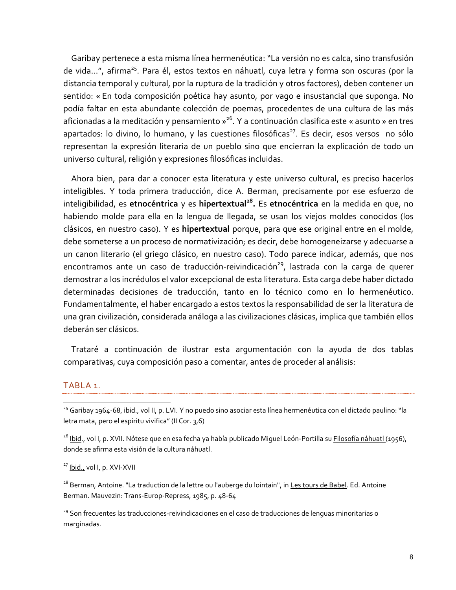Garibay pertenece a esta misma línea hermenéutica: "La versión no es calca, sino transfusión de vida...", afirma<sup>25</sup>. Para él, estos textos en náhuatl, cuya letra y forma son oscuras (por la distancia temporal y cultural, por la ruptura de la tradición y otros factores), deben contener un sentido: « En toda composición poética hay asunto, por vago e insustancial que suponga. No podía faltar en esta abundante colección de poemas, procedentes de una cultura de las más aficionadas a la meditación y pensamiento »<sup>26</sup>. Y a continuación clasifica este « asunto » en tres apartados: lo divino, lo humano, y las cuestiones filosóficas<sup>27</sup>. Es decir, esos versos no sólo representan la expresión literaria de un pueblo sino que encierran la explicación de todo un universo cultural, religión y expresiones filosóficas incluidas.

Ahora bien, para dar a conocer esta literatura y este universo cultural, es preciso hacerlos inteligibles. Y toda primera traducción, dice A. Berman, precisamente por ese esfuerzo de inteligibilidad, es etnocéntrica y es hipertextual<sup>28</sup>. Es etnocéntrica en la medida en que, no habiendo molde para ella en la lengua de llegada, se usan los viejos moldes conocidos (los clásicos, en nuestro caso). Y es hipertextual porque, para que ese original entre en el molde, debe someterse a un proceso de normativización; es decir, debe homogeneizarse y adecuarse a un canon literario (el griego clásico, en nuestro caso). Todo parece indicar, además, que nos encontramos ante un caso de traducción-reivindicación<sup>29</sup>, lastrada con la carga de querer demostrar a los incrédulos el valor excepcional de esta literatura. Esta carga debe haber dictado determinadas decisiones de traducción, tanto en lo técnico como en lo hermenéutico. Fundamentalmente, el haber encargado a estos textos la responsabilidad de ser la literatura de una gran civilización, considerada análoga a las civilizaciones clásicas, implica que también ellos deberán ser clásicos.

Trataré a continuación de ilustrar esta argumentación con la ayuda de dos tablas comparativas, cuya composición paso a comentar, antes de proceder al análisis:

#### TABLA 1.

#### <sup>27</sup> Ibid., vol I, p. XVI-XVII

<sup>28</sup> Berman, Antoine. "La traduction de la lettre ou l'auberge du lointain", in Les tours de Babel. Ed. Antoine Berman. Mauvezin: Trans-Europ-Repress, 1985, p. 48-64

<sup>29</sup> Son frecuentes las traducciones-reivindicaciones en el caso de traducciones de lenguas minoritarias o marginadas.

<sup>&</sup>lt;sup>25</sup> Garibay 1964-68, ibid., vol II, p. LVI. Y no puedo sino asociar esta línea hermenéutica con el dictado paulino: "la letra mata, pero el espíritu vivifica" (Il Cor. 3,6)

<sup>&</sup>lt;sup>26</sup> lbid., vol I, p. XVII. Nótese que en esa fecha ya había publicado Miguel León-Portilla su Filosofía náhuatl (1956), donde se afirma esta visión de la cultura náhuatl.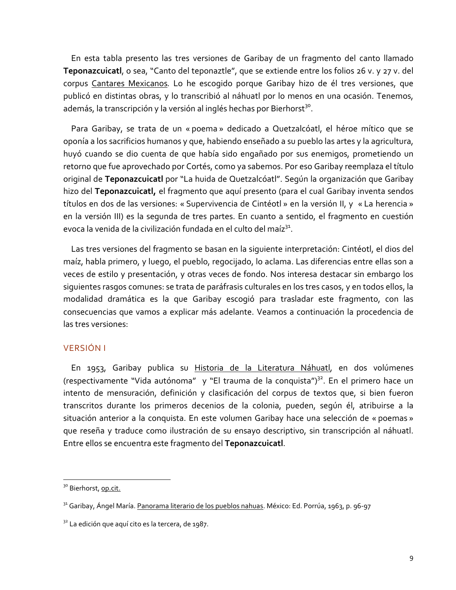En esta tabla presento las tres versiones de Garibay de un fragmento del canto llamado Teponazcuicatl, o sea, "Canto del teponaztle", que se extiende entre los folios 26 v. y 27 v. del corpus Cantares Mexicanos. Lo he escogido porque Garibay hizo de él tres versiones, que publicó en distintas obras, y lo transcribió al náhuatl por lo menos en una ocasión. Tenemos, además, la transcripción y la versión al inglés hechas por Bierhorst<sup>30</sup>.

Para Garibay, se trata de un « poema » dedicado a Quetzalcóatl, el héroe mítico que se oponía a los sacrificios humanos y que, habiendo enseñado a su pueblo las artes y la agricultura, huyó cuando se dio cuenta de que había sido engañado por sus enemigos, prometiendo un retorno que fue aprovechado por Cortés, como ya sabemos. Por eso Garibay reemplaza el título original de Teponazcuicatl por "La huida de Quetzalcóatl". Según la organización que Garibay hizo del Teponazcuicati, el fragmento que aquí presento (para el cual Garibay inventa sendos títulos en dos de las versiones: « Supervivencia de Cintéotl » en la versión II, y « La herencia » en la versión III) es la segunda de tres partes. En cuanto a sentido, el fragmento en cuestión evoca la venida de la civilización fundada en el culto del maíz<sup>31</sup>.

Las tres versiones del fragmento se basan en la siguiente interpretación: Cintéotl, el dios del maíz, habla primero, y luego, el pueblo, regocijado, lo aclama. Las diferencias entre ellas son a veces de estilo y presentación, y otras veces de fondo. Nos interesa destacar sin embargo los siguientes rasgos comunes: se trata de paráfrasis culturales en los tres casos, y en todos ellos, la modalidad dramática es la que Garibay escogió para trasladar este fragmento, con las consecuencias que vamos a explicar más adelante. Veamos a continuación la procedencia de las tres versiones:

## **VERSIÓN I**

En 1953, Garibay publica su Historia de la Literatura Náhuatl, en dos volúmenes (respectivamente "Vida autónoma" y "El trauma de la conquista")<sup>32</sup>. En el primero hace un intento de mensuración, definición y clasificación del corpus de textos que, si bien fueron transcritos durante los primeros decenios de la colonia, pueden, según él, atribuirse a la situación anterior a la conquista. En este volumen Garibay hace una selección de « poemas » que reseña y traduce como ilustración de su ensayo descriptivo, sin transcripción al náhuatl. Entre ellos se encuentra este fragmento del Teponazcuicatl.

<sup>&</sup>lt;sup>30</sup> Bierhorst, op.cit.

<sup>&</sup>lt;sup>31</sup> Garibay, Ángel María. Panorama literario de los pueblos nahuas. México: Ed. Porrúa, 1963, p. 96-97

<sup>&</sup>lt;sup>32</sup> La edición que aquí cito es la tercera, de 1987.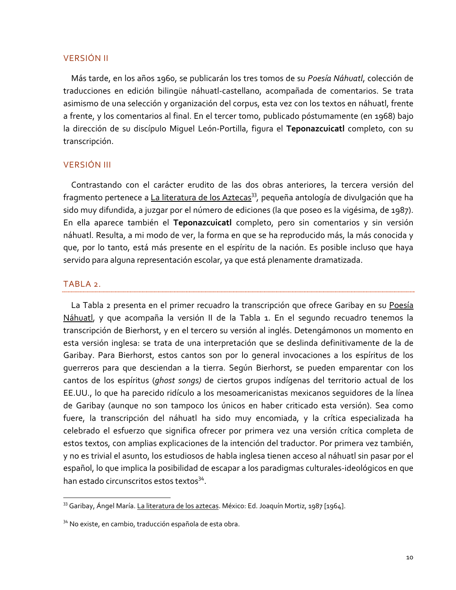#### **VERSIÓN II**

Más tarde, en los años 1960, se publicarán los tres tomos de su Poesía Náhuatl, colección de traducciones en edición bilingüe náhuatl-castellano, acompañada de comentarios. Se trata asimismo de una selección y organización del corpus, esta vez con los textos en náhuatl, frente a frente, y los comentarios al final. En el tercer tomo, publicado póstumamente (en 1968) bajo la dirección de su discípulo Miquel León-Portilla, figura el Teponazcuicatl completo, con su transcripción.

#### **VERSIÓN III**

Contrastando con el carácter erudito de las dos obras anteriores, la tercera versión del fragmento pertenece a La literatura de los Aztecas<sup>33</sup>, pequeña antología de divulgación que ha sido muy difundida, a juzgar por el número de ediciones (la que poseo es la vigésima, de 1987). En ella aparece también el Teponazcuicatl completo, pero sin comentarios y sin versión náhuatl. Resulta, a mi modo de ver, la forma en que se ha reproducido más, la más conocida y que, por lo tanto, está más presente en el espíritu de la nación. Es posible incluso que haya servido para alguna representación escolar, ya que está plenamente dramatizada.

#### TABLA<sub>2</sub>.

La Tabla 2 presenta en el primer recuadro la transcripción que ofrece Garibay en su Poesía Náhuatl, y que acompaña la versión II de la Tabla 1. En el segundo recuadro tenemos la transcripción de Bierhorst, y en el tercero su versión al inglés. Detengámonos un momento en esta versión inglesa: se trata de una interpretación que se deslinda definitivamente de la de Garibay. Para Bierhorst, estos cantos son por lo general invocaciones a los espíritus de los querreros para que desciendan a la tierra. Según Bierhorst, se pueden emparentar con los cantos de los espíritus (ghost songs) de ciertos grupos indígenas del territorio actual de los EE.UU., lo que ha parecido ridículo a los mesoamericanistas mexicanos seguidores de la línea de Garibay (aunque no son tampoco los únicos en haber criticado esta versión). Sea como fuere, la transcripción del náhuatl ha sido muy encomiada, y la crítica especializada ha celebrado el esfuerzo que significa ofrecer por primera vez una versión crítica completa de estos textos, con amplias explicaciones de la intención del traductor. Por primera vez también, y no es trivial el asunto, los estudiosos de habla inglesa tienen acceso al náhuatl sin pasar por el español, lo que implica la posibilidad de escapar a los paradigmas culturales-ideológicos en que han estado circunscritos estos textos<sup>34</sup>.

<sup>&</sup>lt;sup>33</sup> Garibay, Ángel María. La literatura de los aztecas. México: Ed. Joaquín Mortiz, 1987 [1964].

<sup>&</sup>lt;sup>34</sup> No existe, en cambio, traducción española de esta obra.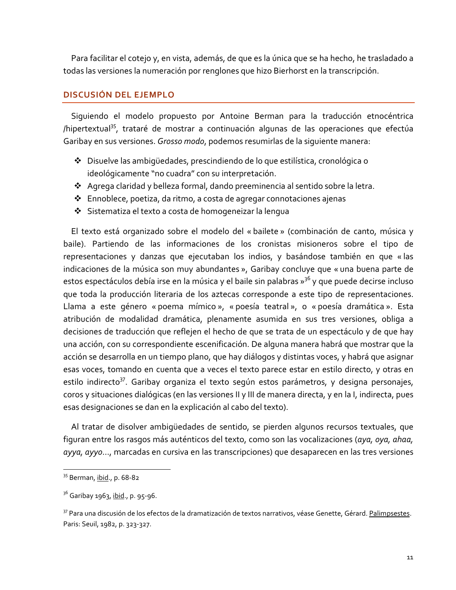Para facilitar el cotejo y, en vista, además, de que es la única que se ha hecho, he trasladado a todas las versiones la numeración por renglones que hizo Bierhorst en la transcripción.

## **DISCUSIÓN DEL EJEMPLO**

Siquiendo el modelo propuesto por Antoine Berman para la traducción etnocéntrica /hipertextual<sup>35</sup>, trataré de mostrar a continuación algunas de las operaciones que efectúa Garibay en sus versiones. Grosso modo, podemos resumirlas de la siguiente manera:

- ◆ Disuelve las ambigüedades, prescindiendo de lo que estilística, cronológica o ideológicamente "no cuadra" con su interpretación.
- ❖ Agrega claridad y belleza formal, dando preeminencia al sentido sobre la letra.
- ❖ Ennoblece, poetiza, da ritmo, a costa de agregar connotaciones ajenas
- Sistematiza el texto a costa de homogeneizar la lengua

El texto está organizado sobre el modelo del « bailete » (combinación de canto, música y baile). Partiendo de las informaciones de los cronistas misioneros sobre el tipo de representaciones y danzas que ejecutaban los indios, y basándose también en que « las indicaciones de la música son muy abundantes », Garibay concluye que « una buena parte de estos espectáculos debía irse en la música y el baile sin palabras »<sup>36</sup> y que puede decirse incluso que toda la producción literaria de los aztecas corresponde a este tipo de representaciones. Llama a este género « poema mímico », « poesía teatral », o « poesía dramática ». Esta atribución de modalidad dramática, plenamente asumida en sus tres versiones, obliga a decisiones de traducción que reflejen el hecho de que se trata de un espectáculo y de que hay una acción, con su correspondiente escenificación. De alguna manera habrá que mostrar que la acción se desarrolla en un tiempo plano, que hay diálogos y distintas voces, y habrá que asignar esas voces, tomando en cuenta que a veces el texto parece estar en estilo directo, y otras en estilo indirecto<sup>37</sup>. Garibay organiza el texto según estos parámetros, y designa personajes, coros y situaciones dialógicas (en las versiones II y III de manera directa, y en la I, indirecta, pues esas designaciones se dan en la explicación al cabo del texto).

Al tratar de disolver ambigüedades de sentido, se pierden algunos recursos textuales, que figuran entre los rasgos más auténticos del texto, como son las vocalizaciones (aya, oya, ahaa, ayya, ayyo..., marcadas en cursiva en las transcripciones) que desaparecen en las tres versiones

<sup>&</sup>lt;sup>35</sup> Berman, ibid., p. 68-82

<sup>&</sup>lt;sup>36</sup> Garibay 1963, <u>ibid</u>., p. 95-96.

<sup>&</sup>lt;sup>37</sup> Para una discusión de los efectos de la dramatización de textos narrativos, véase Genette, Gérard. Palimpsestes. Paris: Seuil, 1982, p. 323-327.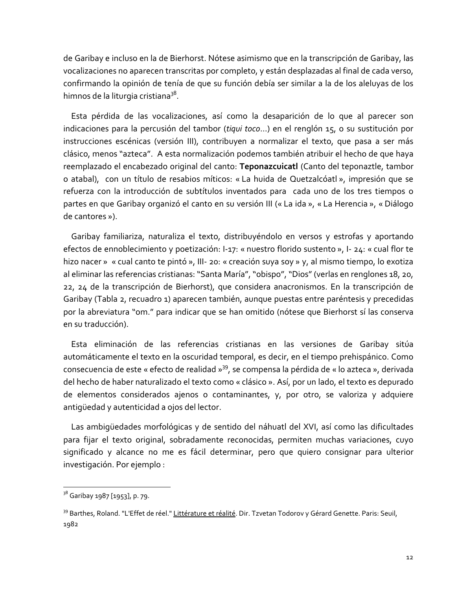de Garibay e incluso en la de Bierhorst. Nótese asimismo que en la transcripción de Garibay, las vocalizaciones no aparecen transcritas por completo, y están desplazadas al final de cada verso, confirmando la opinión de tenía de que su función debía ser similar a la de los aleluyas de los himnos de la liturgia cristiana<sup>38</sup>.

Esta pérdida de las vocalizaciones, así como la desaparición de lo que al parecer son indicaciones para la percusión del tambor (tiqui toco...) en el renglón 15, o su sustitución por instrucciones escénicas (versión III), contribuyen a normalizar el texto, que pasa a ser más clásico, menos "azteca". A esta normalización podemos también atribuir el hecho de que haya reemplazado el encabezado original del canto: Teponazcuicatl (Canto del teponaztle, tambor o atabal), con un título de resabios míticos: « La huida de Quetzalcóatl », impresión que se refuerza con la introducción de subtítulos inventados para cada uno de los tres tiempos o partes en que Garibay organizó el canto en su versión III (« La ida », « La Herencia », « Diálogo de cantores »).

Garibay familiariza, naturaliza el texto, distribuyéndolo en versos y estrofas y aportando efectos de ennoblecimiento y poetización: I-17: « nuestro florido sustento », I-24: « cual flor te hizo nacer » « cual canto te pintó », III- 20: « creación suya soy » y, al mismo tiempo, lo exotiza al eliminar las referencias cristianas: "Santa María", "obispo", "Dios" (verlas en renglones 18, 20, 22, 24 de la transcripción de Bierhorst), que considera anacronismos. En la transcripción de Garibay (Tabla 2, recuadro 1) aparecen también, aunque puestas entre paréntesis y precedidas por la abreviatura "om." para indicar que se han omitido (nótese que Bierhorst sí las conserva en su traducción).

Esta eliminación de las referencias cristianas en las versiones de Garibay sitúa automáticamente el texto en la oscuridad temporal, es decir, en el tiempo prehispánico. Como consecuencia de este « efecto de realidad »<sup>39</sup>, se compensa la pérdida de « lo azteca », derivada del hecho de haber naturalizado el texto como « clásico ». Así, por un lado, el texto es depurado de elementos considerados ajenos o contaminantes, y, por otro, se valoriza y adquiere antiqüedad y autenticidad a ojos del lector.

Las ambigüedades morfológicas y de sentido del náhuatl del XVI, así como las dificultades para fijar el texto original, sobradamente reconocidas, permiten muchas variaciones, cuyo significado y alcance no me es fácil determinar, pero que quiero consignar para ulterior investigación. Por ejemplo:

<sup>&</sup>lt;sup>38</sup> Garibay 1987 [1953], p. 79.

<sup>&</sup>lt;sup>39</sup> Barthes, Roland. "L'Effet de réel." Littérature et réalité. Dir. Tzvetan Todorov y Gérard Genette. Paris: Seuil, 1982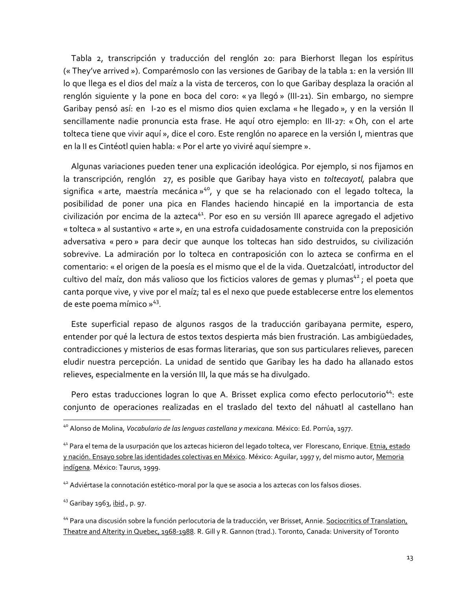Tabla 2, transcripción y traducción del renglón 20: para Bierhorst llegan los espíritus (« They've arrived »). Comparémoslo con las versiones de Garibay de la tabla 1: en la versión III lo que llega es el dios del maíz a la vista de terceros, con lo que Garibay desplaza la oración al renglón siguiente y la pone en boca del coro: « ya llegó » (III-21). Sin embargo, no siempre Garibay pensó así: en 1-20 es el mismo dios quien exclama « he llegado », y en la versión II sencillamente nadie pronuncia esta frase. He aquí otro ejemplo: en III-27: « Oh, con el arte tolteca tiene que vivir aquí », dice el coro. Este renglón no aparece en la versión I, mientras que en la II es Cintéotl quien habla: « Por el arte yo viviré aquí siempre ».

Algunas variaciones pueden tener una explicación ideológica. Por ejemplo, si nos fijamos en la transcripción, renglón 27, es posible que Garibay haya visto en toltecayotl, palabra que significa « arte, maestría mecánica »<sup>40</sup>, y que se ha relacionado con el legado tolteca, la posibilidad de poner una pica en Flandes haciendo hincapié en la importancia de esta civilización por encima de la azteca<sup>41</sup>. Por eso en su versión III aparece agregado el adjetivo « tolteca » al sustantivo « arte », en una estrofa cuidadosamente construida con la preposición adversativa « pero » para decir que aunque los toltecas han sido destruidos, su civilización sobrevive. La admiración por lo tolteca en contraposición con lo azteca se confirma en el comentario: « el origen de la poesía es el mismo que el de la vida. Quetzalcóatl, introductor del cultivo del maíz, don más valioso que los ficticios valores de gemas y plumas<sup>42</sup>; el poeta que canta porque vive, y vive por el maíz; tal es el nexo que puede establecerse entre los elementos de este poema mímico » 43.

Este superficial repaso de algunos rasgos de la traducción garibayana permite, espero, entender por qué la lectura de estos textos despierta más bien frustración. Las ambiqüedades, contradicciones y misterios de esas formas literarias, que son sus particulares relieves, parecen eludir nuestra percepción. La unidad de sentido que Garibay les ha dado ha allanado estos relieves, especialmente en la versión III, la que más se ha divulgado.

Pero estas traducciones logran lo que A. Brisset explica como efecto perlocutorio<sup>44</sup>: este conjunto de operaciones realizadas en el traslado del texto del náhuatl al castellano han

<sup>&</sup>lt;sup>40</sup> Alonso de Molina, Vocabulario de las lenguas castellana y mexicana. México: Ed. Porrúa, 1977.

<sup>41</sup> Para el tema de la usurpación que los aztecas hicieron del legado tolteca, ver Florescano, Enrique. Etnia, estado y nación. Ensayo sobre las identidades colectivas en México. México: Aquilar, 1997 y, del mismo autor, Memoria indígena. México: Taurus, 1999.

<sup>&</sup>lt;sup>42</sup> Adviértase la connotación estético-moral por la que se asocia a los aztecas con los falsos dioses.

<sup>43</sup> Garibay 1963, ibid., p. 97.

<sup>&</sup>lt;sup>44</sup> Para una discusión sobre la función perlocutoria de la traducción, ver Brisset, Annie. Sociocritics of Translation, Theatre and Alterity in Quebec, 1968-1988. R. Gill y R. Gannon (trad.). Toronto, Canada: University of Toronto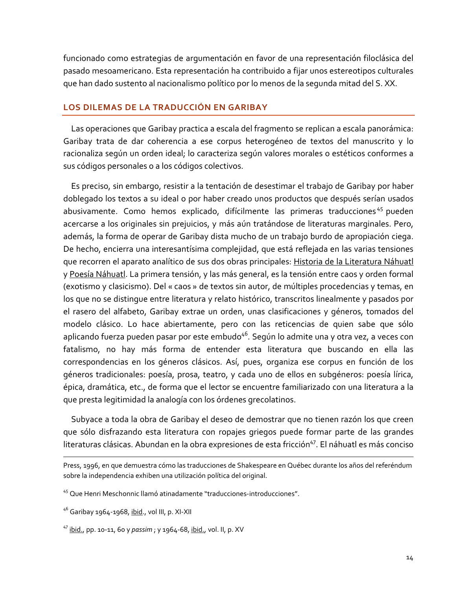funcionado como estrategias de argumentación en favor de una representación filoclásica del pasado mesoamericano. Esta representación ha contribuido a fijar unos estereotipos culturales que han dado sustento al nacionalismo político por lo menos de la segunda mitad del S. XX.

#### LOS DILEMAS DE LA TRADUCCIÓN EN GARIBAY

Las operaciones que Garibay practica a escala del fragmento se replican a escala panorámica: Garibay trata de dar coherencia a ese corpus heterogéneo de textos del manuscrito y lo racionaliza según un orden ideal; lo caracteriza según valores morales o estéticos conformes a sus códigos personales o a los códigos colectivos.

Es preciso, sin embargo, resistir a la tentación de desestimar el trabajo de Garibay por haber doblegado los textos a su ideal o por haber creado unos productos que después serían usados abusivamente. Como hemos explicado, difícilmente las primeras traducciones<sup>45</sup> pueden acercarse a los originales sin prejuicios, y más aún tratándose de literaturas marginales. Pero, además, la forma de operar de Garibay dista mucho de un trabajo burdo de apropiación ciega. De hecho, encierra una interesantísima complejidad, que está reflejada en las varias tensiones que recorren el aparato analítico de sus dos obras principales: Historia de la Literatura Náhuatl y Poesía Náhuatl. La primera tensión, y las más general, es la tensión entre caos y orden formal (exotismo y clasicismo). Del « caos » de textos sin autor, de múltiples procedencias y temas, en los que no se distingue entre literatura y relato histórico, transcritos linealmente y pasados por el rasero del alfabeto, Garibay extrae un orden, unas clasificaciones y géneros, tomados del modelo clásico. Lo hace abiertamente, pero con las reticencias de quien sabe que sólo aplicando fuerza pueden pasar por este embudo<sup>46</sup>. Según lo admite una y otra vez, a veces con fatalismo, no hay más forma de entender esta literatura que buscando en ella las correspondencias en los géneros clásicos. Así, pues, organiza ese corpus en función de los géneros tradicionales: poesía, prosa, teatro, y cada uno de ellos en subgéneros: poesía lírica, épica, dramática, etc., de forma que el lector se encuentre familiarizado con una literatura a la que presta legitimidad la analogía con los órdenes grecolatinos.

Subyace a toda la obra de Garibay el deseo de demostrar que no tienen razón los que creen que sólo disfrazando esta literatura con ropajes griegos puede formar parte de las grandes literaturas clásicas. Abundan en la obra expresiones de esta fricción<sup>47</sup>. El náhuatl es más conciso

Press, 1996, en que demuestra cómo las traducciones de Shakespeare en Québec durante los años del referéndum sobre la independencia exhiben una utilización política del original.

<sup>&</sup>lt;sup>45</sup> Que Henri Meschonnic llamó atinadamente "traducciones-introducciones".

<sup>&</sup>lt;sup>46</sup> Garibay 1964-1968, ibid., vol III, p. XI-XII

<sup>&</sup>lt;sup>47</sup> ibid., pp. 10-11, 60 y passim ; y 1964-68, ibid., vol. II, p. XV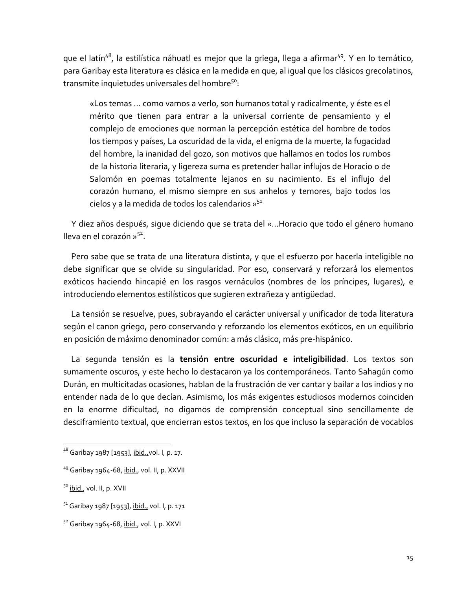que el latín<sup>48</sup>, la estilística náhuatl es mejor que la griega, llega a afirmar<sup>49</sup>. Y en lo temático, para Garibay esta literatura es clásica en la medida en que, al igual que los clásicos grecolatinos, transmite inquietudes universales del hombre<sup>50</sup>:

«Los temas ... como vamos a verlo, son humanos total y radicalmente, y éste es el mérito que tienen para entrar a la universal corriente de pensamiento y el complejo de emociones que norman la percepción estética del hombre de todos los tiempos y países, La oscuridad de la vida, el enigma de la muerte, la fugacidad del hombre, la inanidad del gozo, son motivos que hallamos en todos los rumbos de la historia literaria, y ligereza suma es pretender hallar influjos de Horacio o de Salomón en poemas totalmente lejanos en su nacimiento. Es el influjo del corazón humano, el mismo siempre en sus anhelos y temores, bajo todos los cielos y a la medida de todos los calendarios »<sup>51</sup>

Y diez años después, sigue diciendo que se trata del «...Horacio que todo el género humano lleva en el corazón  $v^{52}$ 

Pero sabe que se trata de una literatura distinta, y que el esfuerzo por hacerla inteligible no debe significar que se olvide su singularidad. Por eso, conservará y reforzará los elementos exóticos haciendo hincapié en los rasgos vernáculos (nombres de los príncipes, lugares), e introduciendo elementos estilísticos que sugieren extrañeza y antigüedad.

La tensión se resuelve, pues, subrayando el carácter universal y unificador de toda literatura según el canon griego, pero conservando y reforzando los elementos exóticos, en un equilibrio en posición de máximo denominador común: a más clásico, más pre-hispánico.

La segunda tensión es la tensión entre oscuridad e inteligibilidad. Los textos son sumamente oscuros, y este hecho lo destacaron ya los contemporáneos. Tanto Sahagún como Durán, en multicitadas ocasiones, hablan de la frustración de ver cantar y bailar a los indios y no entender nada de lo que decían. Asimismo, los más exigentes estudiosos modernos coinciden en la enorme dificultad, no digamos de comprensión conceptual sino sencillamente de desciframiento textual, que encierran estos textos, en los que incluso la separación de vocablos

<sup>&</sup>lt;sup>48</sup> Garibay 1987 [1953], ibid., vol. I, p. 17.

<sup>&</sup>lt;sup>49</sup> Garibay 1964-68, ibid., vol. II, p. XXVII

<sup>&</sup>lt;sup>50</sup> ibid., vol. II, p. XVII

<sup>&</sup>lt;sup>51</sup> Garibay 1987 [1953], ibid., vol. I, p. 171

<sup>&</sup>lt;sup>52</sup> Garibay 1964-68, ibid., vol. I, p. XXVI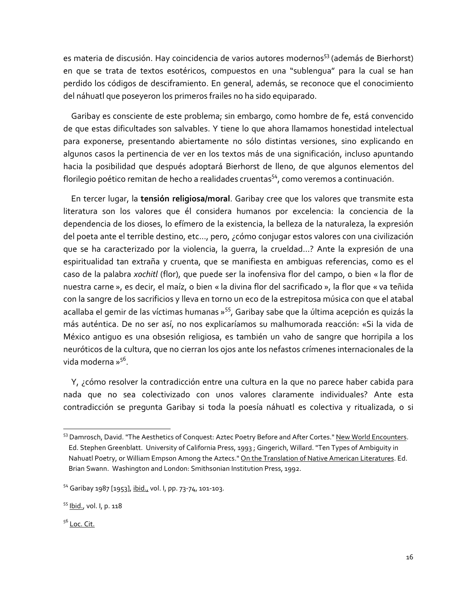es materia de discusión. Hay coincidencia de varios autores modernos<sup>53</sup> (además de Bierhorst) en que se trata de textos esotéricos, compuestos en una "sublenqua" para la cual se han perdido los códigos de desciframiento. En general, además, se reconoce que el conocimiento del náhuatl que poseyeron los primeros frailes no ha sido equiparado.

Garibay es consciente de este problema; sin embargo, como hombre de fe, está convencido de que estas dificultades son salvables. Y tiene lo que ahora llamamos honestidad intelectual para exponerse, presentando abiertamente no sólo distintas versiones, sino explicando en algunos casos la pertinencia de ver en los textos más de una significación, incluso apuntando hacia la posibilidad que después adoptará Bierhorst de lleno, de que algunos elementos del florilegio poético remitan de hecho a realidades cruentas<sup>54</sup>, como veremos a continuación.

En tercer lugar, la tensión religiosa/moral. Garibay cree que los valores que transmite esta literatura son los valores que él considera humanos por excelencia: la conciencia de la dependencia de los dioses, lo efímero de la existencia, la belleza de la naturaleza, la expresión del poeta ante el terrible destino, etc..., pero, ¿cómo conjugar estos valores con una civilización que se ha caracterizado por la violencia, la querra, la crueldad...? Ante la expresión de una espiritualidad tan extraña y cruenta, que se manifiesta en ambiguas referencias, como es el caso de la palabra xochitl (flor), que puede ser la inofensiva flor del campo, o bien « la flor de nuestra carne », es decir, el maíz, o bien « la divina flor del sacrificado », la flor que « va teñida con la sangre de los sacrificios y lleva en torno un eco de la estrepitosa música con que el atabal acallaba el gemir de las víctimas humanas »<sup>55</sup>, Garibay sabe que la última acepción es quizás la más auténtica. De no ser así, no nos explicaríamos su malhumorada reacción: «Si la vida de México antiquo es una obsesión religiosa, es también un vaho de sangre que horripila a los neuróticos de la cultura, que no cierran los ojos ante los nefastos crímenes internacionales de la vida moderna »<sup>56</sup>.

Y, ¿cómo resolver la contradicción entre una cultura en la que no parece haber cabida para nada que no sea colectivizado con unos valores claramente individuales? Ante esta contradicción se pregunta Garibay si toda la poesía náhuatl es colectiva y ritualizada, o si

 $5^6$  Loc. Cit.

<sup>&</sup>lt;sup>53</sup> Damrosch, David. "The Aesthetics of Conquest: Aztec Poetry Before and After Cortes." New World Encounters. Ed. Stephen Greenblatt. University of California Press, 1993; Gingerich, Willard. "Ten Types of Ambiquity in Nahuatl Poetry, or William Empson Among the Aztecs." On the Translation of Native American Literatures. Ed. Brian Swann. Washington and London: Smithsonian Institution Press, 1992.

<sup>&</sup>lt;sup>54</sup> Garibay 1987 [1953], ibid., vol. I, pp. 73-74, 101-103.

<sup>&</sup>lt;sup>55</sup> Ibid., vol. I, p. 118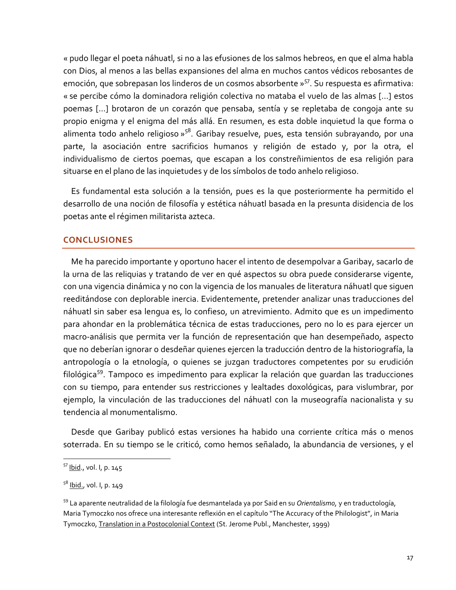« pudo llegar el poeta náhuatl, si no a las efusiones de los salmos hebreos, en que el alma habla con Dios, al menos a las bellas expansiones del alma en muchos cantos védicos rebosantes de emoción, que sobrepasan los linderos de un cosmos absorbente »<sup>57</sup>. Su respuesta es afirmativa: « se percibe cómo la dominadora religión colectiva no mataba el vuelo de las almas [...] estos poemas [...] brotaron de un corazón que pensaba, sentía y se repletaba de congoja ante su propio enigma y el enigma del más allá. En resumen, es esta doble inquietud la que forma o alimenta todo anhelo religioso »<sup>58</sup>. Garibay resuelve, pues, esta tensión subrayando, por una parte, la asociación entre sacrificios humanos y religión de estado y, por la otra, el individualismo de ciertos poemas, que escapan a los constreñimientos de esa religión para situarse en el plano de las inquietudes y de los símbolos de todo anhelo religioso.

Es fundamental esta solución a la tensión, pues es la que posteriormente ha permitido el desarrollo de una noción de filosofía y estética náhuatl basada en la presunta disidencia de los poetas ante el régimen militarista azteca.

### **CONCLUSIONES**

Me ha parecido importante y oportuno hacer el intento de desempolvar a Garibay, sacarlo de la urna de las reliquias y tratando de ver en qué aspectos su obra puede considerarse vigente, con una vigencia dinámica y no con la vigencia de los manuales de literatura náhuatl que siguen reeditándose con deplorable inercia. Evidentemente, pretender analizar unas traducciones del náhuatl sin saber esa lengua es, lo confieso, un atrevimiento. Admito que es un impedimento para ahondar en la problemática técnica de estas traducciones, pero no lo es para ejercer un macro-análisis que permita ver la función de representación que han desempeñado, aspecto que no deberían ignorar o desdeñar quienes ejercen la traducción dentro de la historiografía, la antropología o la etnología, o quienes se juzgan traductores competentes por su erudición filológica<sup>59</sup>. Tampoco es impedimento para explicar la relación que quardan las traducciones con su tiempo, para entender sus restricciones y lealtades doxológicas, para vislumbrar, por ejemplo, la vinculación de las traducciones del náhuati con la museografía nacionalista y su tendencia al monumentalismo.

Desde que Garibay publicó estas versiones ha habido una corriente crítica más o menos soterrada. En su tiempo se le criticó, como hemos señalado, la abundancia de versiones, y el

<sup>&</sup>lt;sup>57</sup> Ibid., vol. I, p. 145

<sup>&</sup>lt;sup>58</sup> Ibid., vol. I, p. 149

<sup>&</sup>lt;sup>59</sup> La aparente neutralidad de la filología fue desmantelada ya por Said en su *Orientalismo*, y en traductología, Maria Tymoczko nos ofrece una interesante reflexión en el capítulo "The Accuracy of the Philologist", in Maria Tymoczko, Translation in a Postocolonial Context (St. Jerome Publ., Manchester, 1999)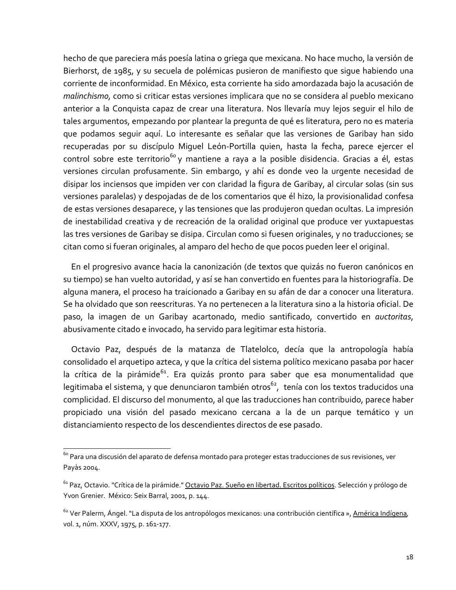hecho de que pareciera más poesía latina o griega que mexicana. No hace mucho, la versión de Bierhorst, de 1985, y su secuela de polémicas pusieron de manifiesto que sique habiendo una corriente de inconformidad. En México, esta corriente ha sido amordazada bajo la acusación de malinchismo, como si criticar estas versiones implicara que no se considera al pueblo mexicano anterior a la Conquista capaz de crear una literatura. Nos llevaría muy lejos seguir el hilo de tales argumentos, empezando por plantear la pregunta de qué es literatura, pero no es materia que podamos sequir aquí. Lo interesante es señalar que las versiones de Garibay han sido recuperadas por su discípulo Miquel León-Portilla quien, hasta la fecha, parece ejercer el control sobre este territorio<sup>60</sup> y mantiene a raya a la posible disidencia. Gracias a él, estas versiones circulan profusamente. Sin embargo, y ahí es donde veo la urgente necesidad de disipar los inciensos que impiden ver con claridad la figura de Garibay, al circular solas (sin sus versiones paralelas) y despojadas de de los comentarios que él hizo, la provisionalidad confesa de estas versiones desaparece, y las tensiones que las produjeron quedan ocultas. La impresión de inestabilidad creativa y de recreación de la oralidad original que produce ver yuxtapuestas las tres versiones de Garibay se disipa. Circulan como si fuesen originales, y no traducciones; se citan como si fueran originales, al amparo del hecho de que pocos pueden leer el original.

En el progresivo avance hacia la canonización (de textos que quizás no fueron canónicos en su tiempo) se han vuelto autoridad, y así se han convertido en fuentes para la historiografía. De alguna manera, el proceso ha traicionado a Garibay en su afán de dar a conocer una literatura. Se ha olvidado que son reescrituras. Ya no pertenecen a la literatura sino a la historia oficial. De paso, la imagen de un Garibay acartonado, medio santificado, convertido en auctoritas, abusivamente citado e invocado, ha servido para legitimar esta historia.

Octavio Paz, después de la matanza de Tlatelolco, decía que la antropología había consolidado el arquetipo azteca, y que la crítica del sistema político mexicano pasaba por hacer la crítica de la pirámide<sup>61</sup>. Era quizás pronto para saber que esa monumentalidad que legitimaba el sistema, y que denunciaron también otros<sup>62</sup>, tenía con los textos traducidos una complicidad. El discurso del monumento, al que las traducciones han contribuido, parece haber propiciado una visión del pasado mexicano cercana a la de un parque temático y un distanciamiento respecto de los descendientes directos de ese pasado.

<sup>&</sup>lt;sup>60</sup> Para una discusión del aparato de defensa montado para proteger estas traducciones de sus revisiones, ver Payàs 2004.

<sup>&</sup>lt;sup>61</sup> Paz, Octavio. "Crítica de la pirámide." Octavio Paz. Sueño en libertad. Escritos políticos. Selección y prólogo de Yvon Grenier. México: Seix Barral, 2001, p. 144.

<sup>&</sup>lt;sup>62</sup> Ver Palerm, Ángel. "La disputa de los antropólogos mexicanos: una contribución científica », América Indígena, vol. 1, núm. XXXV, 1975, p. 161-177.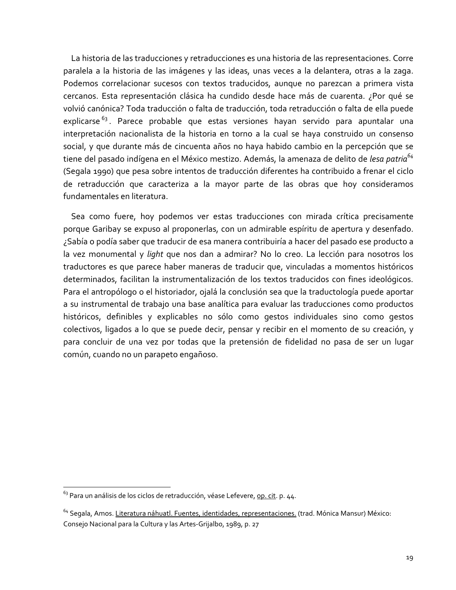La historia de las traducciones y retraducciones es una historia de las representaciones. Corre paralela a la historia de las imágenes y las ideas, unas veces a la delantera, otras a la zaga. Podemos correlacionar sucesos con textos traducidos, aunque no parezcan a primera vista cercanos. Esta representación clásica ha cundido desde hace más de cuarenta. ¿Por qué se volvió canónica? Toda traducción o falta de traducción, toda retraducción o falta de ella puede explicarse<sup>63</sup>. Parece probable que estas versiones hayan servido para apuntalar una interpretación nacionalista de la historia en torno a la cual se haya construido un consenso social, y que durante más de cincuenta años no haya habido cambio en la percepción que se tiene del pasado indígena en el México mestizo. Además, la amenaza de delito de lesa patria<sup>64</sup> (Segala 1990) que pesa sobre intentos de traducción diferentes ha contribuido a frenar el ciclo de retraducción que caracteriza a la mayor parte de las obras que hoy consideramos fundamentales en literatura.

Sea como fuere, hoy podemos ver estas traducciones con mirada crítica precisamente porque Garibay se expuso al proponerlas, con un admirable espíritu de apertura y desenfado. ¿Sabía o podía saber que traducir de esa manera contribuiría a hacer del pasado ese producto a la vez monumental y light que nos dan a admirar? No lo creo. La lección para nosotros los traductores es que parece haber maneras de traducir que, vinculadas a momentos históricos determinados, facilitan la instrumentalización de los textos traducidos con fines ideológicos. Para el antropólogo o el historiador, ojalá la conclusión sea que la traductología puede aportar a su instrumental de trabajo una base analítica para evaluar las traducciones como productos históricos, definibles y explicables no sólo como gestos individuales sino como gestos colectivos, ligados a lo que se puede decir, pensar y recibir en el momento de su creación, y para concluir de una vez por todas que la pretensión de fidelidad no pasa de ser un lugar común, cuando no un parapeto engañoso.

<sup>&</sup>lt;sup>63</sup> Para un análisis de los ciclos de retraducción, véase Lefevere, op. cit. p. 44.

<sup>&</sup>lt;sup>64</sup> Segala, Amos. Literatura náhuatl. Fuentes, identidades, representaciones. (trad. Mónica Mansur) México: Consejo Nacional para la Cultura y las Artes-Grijalbo, 1989, p. 27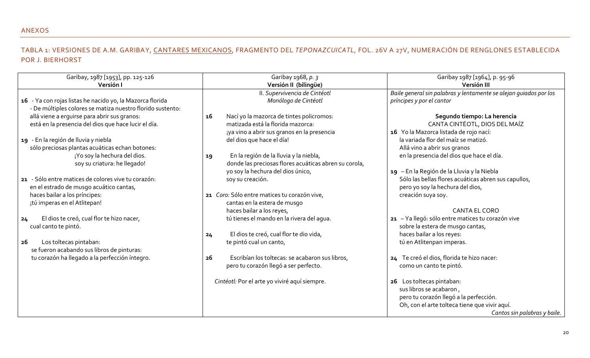## ANEXOS

# TABLA 1: VERSIONES DE A.M. GARIBAY, CANTARES MEXICANOS, FRAGMENTO DEL TEPONAZCUICATL, FOL. 26V A 27V, NUMERACIÓN DE RENGLONES ESTABLECIDA POR J. BIERHORST

| Garibay, 1987 [1953], pp. 125-126<br>Versión I             | Garibay 1968, p. 3<br>Versión II (bilingüe)           | Garibay 1987 [1964], p. 95-96<br>Versión III                      |
|------------------------------------------------------------|-------------------------------------------------------|-------------------------------------------------------------------|
|                                                            | II. Supervivencia de Cintéotl                         | Baile general sin palabras y lentamente se alejan guiados por los |
| 16 - Ya con rojas listas he nacido yo, la Mazorca florida  | Monólogo de Cintéotl                                  | príncipes y por el cantor                                         |
| - De múltiples colores se matiza nuestro florido sustento: |                                                       |                                                                   |
| allá viene a erguirse para abrir sus granos:               | Nací yo la mazorca de tintes policromos:<br>16        | Segundo tiempo: La herencia                                       |
| está en la presencia del dios que hace lucir el día.       | matizada está la florida mazorca:                     | CANTA CINTÉOTL, DIOS DEL MAÍZ                                     |
|                                                            | ¡ya vino a abrir sus granos en la presencia           | 16 Yo la Mazorca listada de rojo nací:                            |
| 19 - En la región de lluvia y niebla                       | del dios que hace el día!                             | la variada flor del maíz se matizó.                               |
| sólo preciosas plantas acuáticas echan botones:            |                                                       | Allá vino a abrir sus granos                                      |
| ¡Yo soy la hechura del dios.                               | En la región de la lluvia y la niebla,<br>19          | en la presencia del dios que hace el día.                         |
| soy su criatura: he llegado!                               | donde las preciosas flores acuáticas abren su corola, |                                                                   |
|                                                            | yo soy la hechura del dios único,                     | 19 - En la Región de la Lluvia y la Niebla                        |
| 21 - Sólo entre matices de colores vive tu corazón:        | soy su creación.                                      | Sólo las bellas flores acuáticas abren sus capullos,              |
| en el estrado de musgo acuático cantas,                    |                                                       | pero yo soy la hechura del dios,                                  |
| haces bailar a los príncipes:                              | 21 Coro: Sólo entre matices tu corazón vive,          | creación suya soy.                                                |
| ¡tú imperas en el Atlitepan!                               | cantas en la estera de musgo                          |                                                                   |
|                                                            | haces bailar a los reyes,                             | <b>CANTA EL CORO</b>                                              |
| El dios te creó, cual flor te hizo nacer,<br>24            | tú tienes el mando en la rivera del agua.             | 21 - Ya llegó: sólo entre matices tu corazón vive                 |
| cual canto te pintó.                                       |                                                       | sobre la estera de musgo cantas,                                  |
|                                                            | El dios te creó, cual flor te dio vida,<br>24         | haces bailar a los reyes:                                         |
| Los toltecas pintaban:<br>26                               | te pintó cual un canto,                               | tú en Atlitenpan imperas.                                         |
| se fueron acabando sus libros de pinturas:                 |                                                       |                                                                   |
| tu corazón ha llegado a la perfección íntegro.             | Escribían los toltecas: se acabaron sus libros,<br>26 | 24 Te creó el dios, florida te hizo nacer:                        |
|                                                            | pero tu corazón llegó a ser perfecto.                 | como un canto te pintó.                                           |
|                                                            |                                                       |                                                                   |
|                                                            | Cintéotl: Por el arte yo viviré aquí siempre.         | 26 Los toltecas pintaban:                                         |
|                                                            |                                                       | sus libros se acabaron,                                           |
|                                                            |                                                       | pero tu corazón llegó a la perfección.                            |
|                                                            |                                                       | Oh, con el arte tolteca tiene que vivir aquí.                     |
|                                                            |                                                       | Cantos sin palabras y baile.                                      |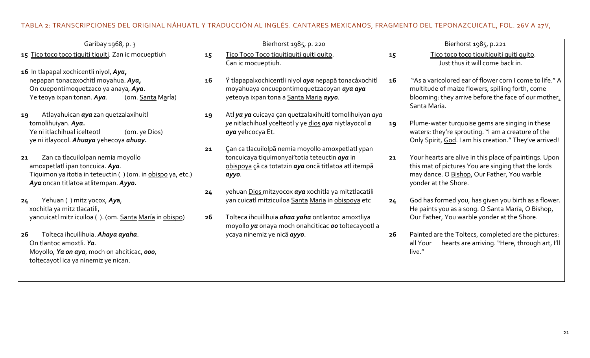# TABLA 2: TRANSCRIPCIONES DEL ORIGINAL NÁHUATL Y TRADUCCIÓN AL INGLÉS. CANTARES MEXICANOS, FRAGMENTO DEL TEPONAZCUICATL, FOL. 26V A 27V,

| Garibay 1968, p. 3                                                                                                                                                                | Bierhorst 1985, p. 220                                                                                                                                                                                                                    | Bierhorst 1985, p.221                                                                                                                                                                      |
|-----------------------------------------------------------------------------------------------------------------------------------------------------------------------------------|-------------------------------------------------------------------------------------------------------------------------------------------------------------------------------------------------------------------------------------------|--------------------------------------------------------------------------------------------------------------------------------------------------------------------------------------------|
| 15 Tico toco toco tiquiti tiquiti. Zan ic mocueptiuh                                                                                                                              | Tico Toco Toco tiquitiquiti quiti quito.<br>15<br>Can ic mocueptiuh.                                                                                                                                                                      | Tico toco toco tiquitiquiti quiti quito.<br>15<br>Just thus it will come back in.                                                                                                          |
| 16 In tlapapal xochicentli niyol, Aya,<br>nepapan tonacaxochitl moyahua. Aya,<br>On cuepontimoquetzaco ya anaya, Aya.<br>Ye teoya ixpan tonan. Aya.<br>(om. Santa María)          | Ÿ tlapapalxochicentli niyol aya nepapã tonacáxochitl<br>16<br>moyahuaya oncuepontimoquetzacoyan aya aya<br>yeteoya ixpan tona a Santa Maria ayyo.                                                                                         | "As a varicolored ear of flower corn I come to life." A<br>16<br>multitude of maize flowers, spilling forth, come<br>blooming: they arrive before the face of our mother,<br>Santa María.  |
| Atlayahuican aya zan quetzalaxihuitl<br>19<br>tomolihuiyan. Aya.<br>Ye ni itlachihual icelteotl<br>(om. ye Dios)<br>ye ni itlayocol. Ahuaya yehecoya ahuay.                       | Atl ya ya cuicaya çan quetzalaxihuitl tomolihuiyan aya<br>19<br>ye nitlachihual ycelteotl y ye dios aya niytlayocol a<br>oya yehcocya Et.<br>Çan ca tlacuilolpã nemia moyollo amoxpetlatl ypan<br>21                                      | Plume-water turquoise gems are singing in these<br>19<br>waters: they're sprouting. "I am a creature of the<br>Only Spirit, God. I am his creation." They've arrived!                      |
| Zan ca tlacuilolpan nemia moyollo<br>21<br>amoxpetlatl ipan toncuica. Aya.<br>Tiquimon ya itotia in teteuctin () (om. in obispo ya, etc.)<br>Aya oncan titlatoa atlitempan. Ayyo. | toncuicaya tiquimonyai'totia teteuctin aya in<br>obispoya çã ca totatzin aya oncã titlatoa atl itempã<br>аууо.                                                                                                                            | Your hearts are alive in this place of paintings. Upon<br>21<br>this mat of pictures You are singing that the lords<br>may dance. O Bishop, Our Father, You warble<br>yonder at the Shore. |
| Yehuan () mitz yocox, Aya,<br>24<br>xochitla ya mitz tlacatili,<br>yancuicatl mitz icuiloa (). (om. Santa María in obispo)                                                        | yehuan Dios mitzyocox aya xochitla ya mitztlacatili<br>24<br>yan cuicatl mitzicuiloa Santa Maria in obispoya etc<br>Tolteca ihcuilihuia <i>ahaa yaha</i> ontlantoc amoxtliya<br>26<br>moyollo ya onaya moch onahciticac oo toltecayootl a | God has formed you, has given you birth as a flower.<br>24<br>He paints you as a song. O Santa María, O Bishop,<br>Our Father, You warble yonder at the Shore.                             |
| Tolteca ihcuilihuia. Ahaya ayaha.<br>26<br>On tlantoc amoxtli. Ya.<br>Moyollo, Ya on aya, moch on ahciticac, ooo,<br>toltecayotl ica ya ninemiz ye nican.                         | ycaya ninemiz ye nicã ayyo.                                                                                                                                                                                                               | Painted are the Toltecs, completed are the pictures:<br>26<br>hearts are arriving. "Here, through art, I'll<br>all Your<br>live."                                                          |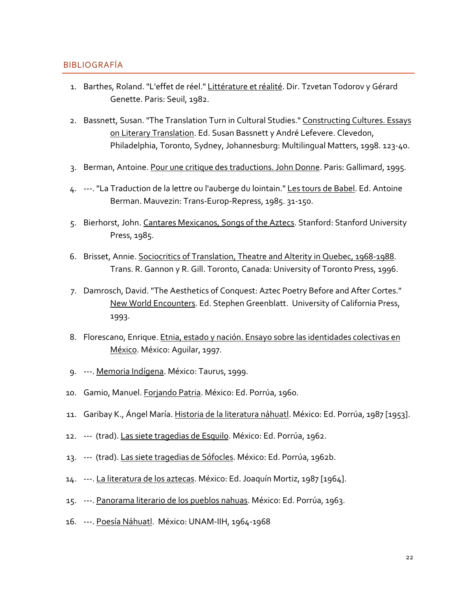### **BIBLIOGRAFÍA**

- 1. Barthes, Roland. "L'effet de réel." Littérature et réalité. Dir. Tzvetan Todorov y Gérard Genette. Paris: Seuil, 1982.
- 2. Bassnett, Susan. "The Translation Turn in Cultural Studies." Constructing Cultures. Essays on Literary Translation. Ed. Susan Bassnett y André Lefevere. Clevedon, Philadelphia, Toronto, Sydney, Johannesburg: Multilingual Matters, 1998. 123-40.
- 3. Berman, Antoine. Pour une critique des traductions. John Donne. Paris: Gallimard, 1995.
- 4. ---. "La Traduction de la lettre ou l'auberge du lointain." Les tours de Babel. Ed. Antoine Berman. Mauvezin: Trans-Europ-Repress, 1985. 31-150.
- 5. Bierhorst, John. Cantares Mexicanos, Songs of the Aztecs. Stanford: Stanford University Press, 1985.
- 6. Brisset, Annie. Sociocritics of Translation, Theatre and Alterity in Quebec, 1968-1988. Trans. R. Gannon y R. Gill. Toronto, Canada: University of Toronto Press, 1996.
- 7. Damrosch, David. "The Aesthetics of Conquest: Aztec Poetry Before and After Cortes." New World Encounters. Ed. Stephen Greenblatt. University of California Press, 1993.
- 8. Florescano, Enrique. Etnia, estado y nación. Ensayo sobre las identidades colectivas en México. México: Aquilar, 1997.
- 9. ---. Memoria Indígena. México: Taurus, 1999.
- 10. Gamio, Manuel. Forjando Patria. México: Ed. Porrúa, 1960.
- 11. Garibay K., Ángel María. Historia de la literatura náhuatl. México: Ed. Porrúa, 1987 [1953].
- 12. --- (trad). Las siete tragedias de Esquilo. México: Ed. Porrúa, 1962.
- 13. --- (trad). Las siete tragedias de Sófocles. México: Ed. Porrúa, 1962b.
- 14. ---. La literatura de los aztecas. México: Ed. Joaquín Mortiz, 1987 [1964].
- 15. ---. Panorama literario de los pueblos nahuas. México: Ed. Porrúa, 1963.
- 16. ---. Poesía Náhuatl. México: UNAM-IIH, 1964-1968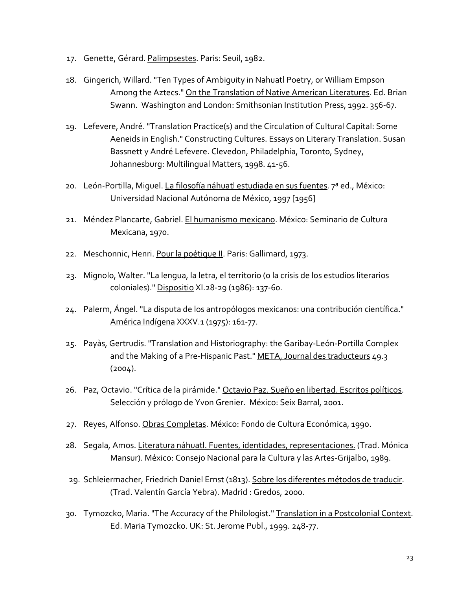- 17. Genette, Gérard. Palimpsestes. Paris: Seuil, 1982.
- 18. Gingerich, Willard. "Ten Types of Ambiguity in Nahuatl Poetry, or William Empson Among the Aztecs." On the Translation of Native American Literatures. Ed. Brian Swann. Washington and London: Smithsonian Institution Press, 1992. 356-67.
- 19. Lefevere, André. "Translation Practice(s) and the Circulation of Cultural Capital: Some Aeneids in English." Constructing Cultures. Essays on Literary Translation. Susan Bassnett y André Lefevere. Clevedon, Philadelphia, Toronto, Sydney, Johannesburg: Multilingual Matters, 1998. 41-56.
- 20. León-Portilla, Miquel. La filosofía náhuatl estudiada en sus fuentes. 7ª ed., México: Universidad Nacional Autónoma de México, 1997 [1956]
- 21. Méndez Plancarte, Gabriel. El humanismo mexicano. México: Seminario de Cultura Mexicana, 1970.
- 22. Meschonnic, Henri. Pour la poétique II. Paris: Gallimard, 1973.
- 23. Mignolo, Walter. "La lengua, la letra, el territorio (o la crisis de los estudios literarios coloniales)." Dispositio XI.28-29 (1986): 137-60.
- 24. Palerm, Ángel. "La disputa de los antropólogos mexicanos: una contribución científica." América Indígena XXXV.1 (1975): 161-77.
- 25. Payàs, Gertrudis. "Translation and Historiography: the Garibay-León-Portilla Complex and the Making of a Pre-Hispanic Past." META, Journal des traducteurs 49.3  $(2004).$
- 26. Paz, Octavio. "Crítica de la pirámide." Octavio Paz. Sueño en libertad. Escritos políticos. Selección y prólogo de Yvon Grenier. México: Seix Barral, 2001.
- 27. Reyes, Alfonso. Obras Completas. México: Fondo de Cultura Económica, 1990.
- 28. Segala, Amos. Literatura náhuatl. Fuentes, identidades, representaciones. (Trad. Mónica Mansur). México: Consejo Nacional para la Cultura y las Artes-Grijalbo, 1989.
- 29. Schleiermacher, Friedrich Daniel Ernst (1813). Sobre los diferentes métodos de traducir. (Trad. Valentín García Yebra). Madrid : Gredos, 2000.
- 30. Tymozcko, Maria. "The Accuracy of the Philologist." Translation in a Postcolonial Context. Ed. Maria Tymozcko. UK: St. Jerome Publ., 1999. 248-77.